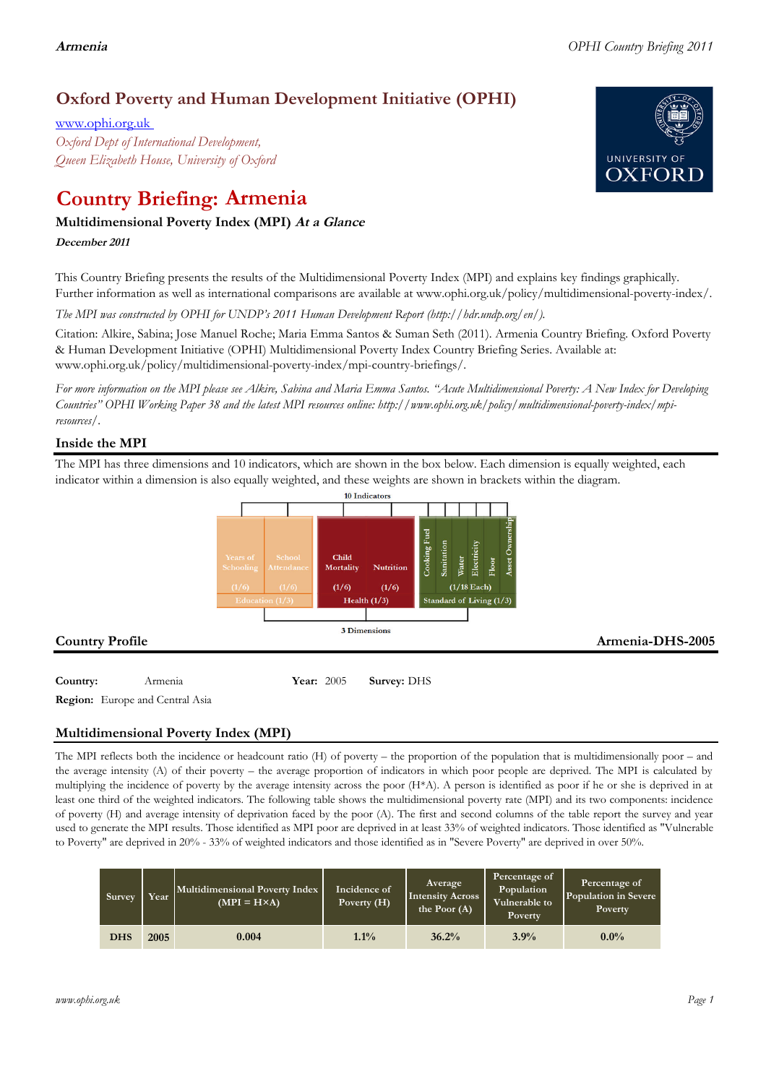# **Oxford Poverty and Human Development Initiative (OPHI)**

www.ophi.org.uk *Oxford Dept of International Development, Queen Elizabeth House, University of Oxford*

# **Country Briefing: Armenia**

# **Multidimensional Poverty Index (MPI) At <sup>a</sup> Glance**

**December <sup>2011</sup>**

This Country Briefing presents the results of the Multidimensional Poverty Index (MPI) and explains key findings graphically. Further information as well as international comparisons are available at www.ophi.org.uk/policy/multidimensional-poverty-index/.

*The MPI was constructed by OPHI for UNDP's 2011 Human Development Report (http://hdr.undp.org/en/).*

Citation: Alkire, Sabina; Jose Manuel Roche; Maria Emma Santos & Suman Seth (2011). Armenia Country Briefing. Oxford Poverty & Human Development Initiative (OPHI) Multidimensional Poverty Index Country Briefing Series. Available at: www.ophi.org.uk/policy/multidimensional-poverty-index/mpi-country-briefings/.

*For more information on the MPI please see Alkire, Sabina and Maria Emma Santos. "Acute Multidimensional Poverty: A New Index for Developing Countries" OPHI Working Paper 38 and the latest MPI resources online: http://www.ophi.org.uk/policy/multidimensional-poverty-index/mpiresources/.*

# **Inside the MPI**

The MPI has three dimensions and 10 indicators, which are shown in the box below. Each dimension is equally weighted, each indicator within a dimension is also equally weighted, and these weights are shown in brackets within the diagram.



**Region:** Europe and Central Asia

# **Multidimensional Poverty Index (MPI)**

The MPI reflects both the incidence or headcount ratio (H) of poverty – the proportion of the population that is multidimensionally poor – and the average intensity (A) of their poverty – the average proportion of indicators in which poor people are deprived. The MPI is calculated by multiplying the incidence of poverty by the average intensity across the poor (H\*A). A person is identified as poor if he or she is deprived in at least one third of the weighted indicators. The following table shows the multidimensional poverty rate (MPI) and its two components: incidence of poverty (H) and average intensity of deprivation faced by the poor (A). The first and second columns of the table report the survey and year used to generate the MPI results. Those identified as MPI poor are deprived in at least 33% of weighted indicators. Those identified as "Vulnerable to Poverty" are deprived in 20% - 33% of weighted indicators and those identified as in "Severe Poverty" are deprived in over 50%.

| Survey     | Year | Multidimensional Poverty Index<br>$(MPI = H \times A)$ | Incidence of<br>Poverty $(H)$ | Average<br>Intensity Across<br>the Poor (A) | Percentage of<br>Population<br>Vulnerable to<br><b>Poverty</b> | Percentage of<br>Population in Severe<br><b>Poverty</b> |
|------------|------|--------------------------------------------------------|-------------------------------|---------------------------------------------|----------------------------------------------------------------|---------------------------------------------------------|
| <b>DHS</b> | 2005 | 0.004                                                  | $1.1\%$                       | 36.2%                                       | 3.9%                                                           | $0.0\%$                                                 |

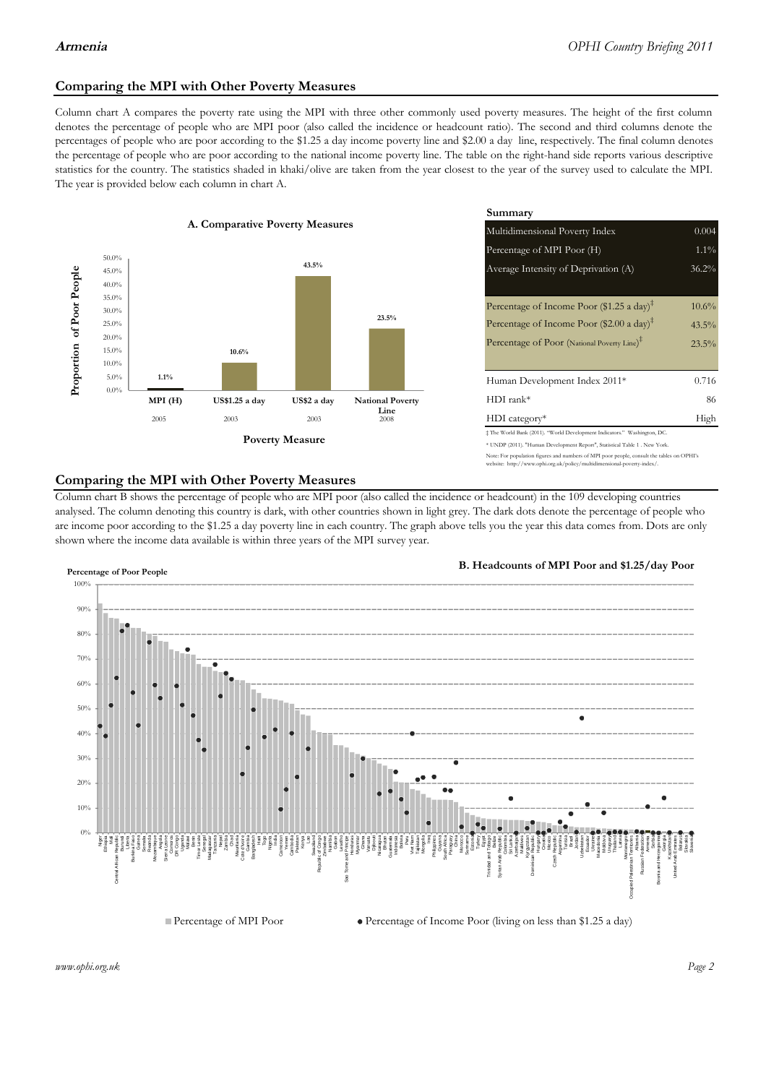# **Comparing the MPI with Other Poverty Measures**

Column chart A compares the poverty rate using the MPI with three other commonly used poverty measures. The height of the first column denotes the percentage of people who are MPI poor (also called the incidence or headcount ratio). The second and third columns denote the percentages of people who are poor according to the \$1.25 a day income poverty line and \$2.00 a day line, respectively. The final column denotes the percentage of people who are poor according to the national income poverty line. The table on the right-hand side reports various descriptive statistics for the country. The statistics shaded in khaki/olive are taken from the year closest to the year of the survey used to calculate the MPI. The year is provided below each column in chart A.



|                                        |              | Summary                                                                                                                                                                                                          |                               |  |  |
|----------------------------------------|--------------|------------------------------------------------------------------------------------------------------------------------------------------------------------------------------------------------------------------|-------------------------------|--|--|
| erty Measures                          |              | 0.004<br>Multidimensional Poverty Index                                                                                                                                                                          |                               |  |  |
|                                        |              | Percentage of MPI Poor (H)                                                                                                                                                                                       | $1.1\%$                       |  |  |
| 43.5%                                  |              | Average Intensity of Deprivation (A)                                                                                                                                                                             | 36.2%                         |  |  |
|                                        | 23.5%        | Percentage of Income Poor (\$1.25 a day) <sup><math>\ddagger</math></sup><br>Percentage of Income Poor (\$2.00 a day) <sup><math>\bar{x}</math></sup><br>Percentage of Poor (National Poverty Line) <sup>#</sup> | $10.6\%$<br>$43.5\%$<br>23.5% |  |  |
|                                        |              | Human Development Index 2011*                                                                                                                                                                                    | 0.716                         |  |  |
| US\$2 a day<br><b>National Poverty</b> |              | $HDI$ rank*                                                                                                                                                                                                      | 86                            |  |  |
| 2003                                   | Line<br>2008 | $HDI category*$                                                                                                                                                                                                  | High                          |  |  |
| <b>Aeasure</b>                         |              | $\pm$ The World Bank (2011). "World Development Indicators." Washington, DC.<br>* UNDP (2011). "Human Development Report", Statistical Table 1 . New York.                                                       |                               |  |  |

te: For population figures and numbers of MPI poor people, consult the tables on OPHI's te: http://www.ophi.org.uk/policy/multidimensional-poverty-index/

### **Comparing the MPI with Other Poverty Measures**

Column chart B shows the percentage of people who are MPI poor (also called the incidence or headcount) in the 109 developing countries analysed. The column denoting this country is dark, with other countries shown in light grey. The dark dots denote the percentage of people who are income poor according to the \$1.25 a day poverty line in each country. The graph above tells you the year this data comes from. Dots are only shown where the income data available is within three years of the MPI survey year.



**B. Headcounts of MPI Poor and \$1.25/day Poor**



*www.ophi.org.uk Page 2*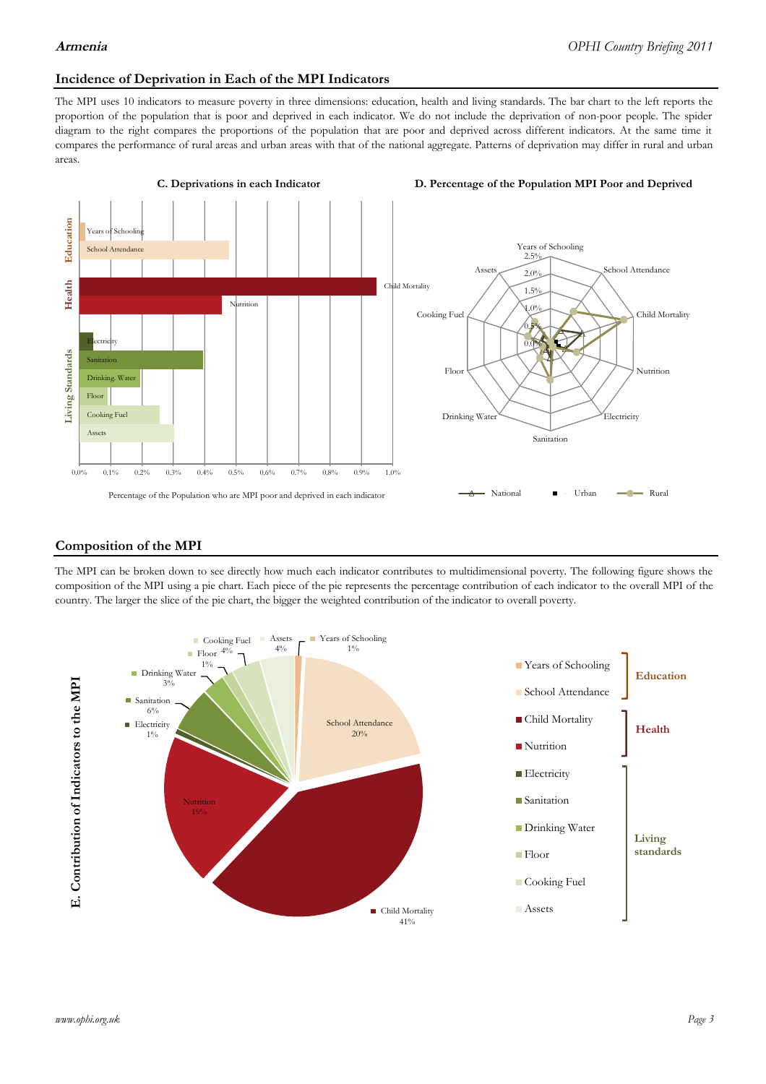### **Incidence of Deprivation in Each of the MPI Indicators**

The MPI uses 10 indicators to measure poverty in three dimensions: education, health and living standards. The bar chart to the left reports the proportion of the population that is poor and deprived in each indicator. We do not include the deprivation of non-poor people. The spider diagram to the right compares the proportions of the population that are poor and deprived across different indicators. At the same time it compares the performance of rural areas and urban areas with that of the national aggregate. Patterns of deprivation may differ in rural and urban areas.



### **Composition of the MPI**

The MPI can be broken down to see directly how much each indicator contributes to multidimensional poverty. The following figure shows the composition of the MPI using a pie chart. Each piece of the pie represents the percentage contribution of each indicator to the overall MPI of the country. The larger the slice of the pie chart, the bigger the weighted contribution of the indicator to overall poverty.